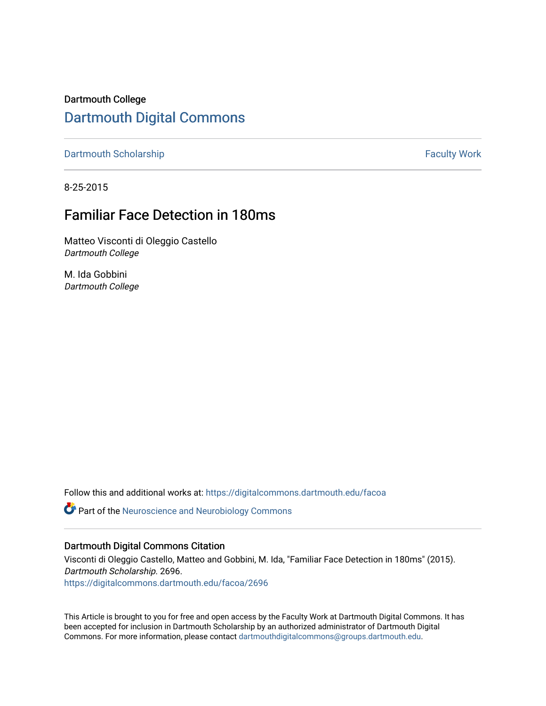Dartmouth College [Dartmouth Digital Commons](https://digitalcommons.dartmouth.edu/) 

[Dartmouth Scholarship](https://digitalcommons.dartmouth.edu/facoa) Faculty Work

8-25-2015

## Familiar Face Detection in 180ms

Matteo Visconti di Oleggio Castello Dartmouth College

M. Ida Gobbini Dartmouth College

Follow this and additional works at: [https://digitalcommons.dartmouth.edu/facoa](https://digitalcommons.dartmouth.edu/facoa?utm_source=digitalcommons.dartmouth.edu%2Ffacoa%2F2696&utm_medium=PDF&utm_campaign=PDFCoverPages)

Part of the [Neuroscience and Neurobiology Commons](http://network.bepress.com/hgg/discipline/55?utm_source=digitalcommons.dartmouth.edu%2Ffacoa%2F2696&utm_medium=PDF&utm_campaign=PDFCoverPages) 

### Dartmouth Digital Commons Citation

Visconti di Oleggio Castello, Matteo and Gobbini, M. Ida, "Familiar Face Detection in 180ms" (2015). Dartmouth Scholarship. 2696.

[https://digitalcommons.dartmouth.edu/facoa/2696](https://digitalcommons.dartmouth.edu/facoa/2696?utm_source=digitalcommons.dartmouth.edu%2Ffacoa%2F2696&utm_medium=PDF&utm_campaign=PDFCoverPages) 

This Article is brought to you for free and open access by the Faculty Work at Dartmouth Digital Commons. It has been accepted for inclusion in Dartmouth Scholarship by an authorized administrator of Dartmouth Digital Commons. For more information, please contact [dartmouthdigitalcommons@groups.dartmouth.edu](mailto:dartmouthdigitalcommons@groups.dartmouth.edu).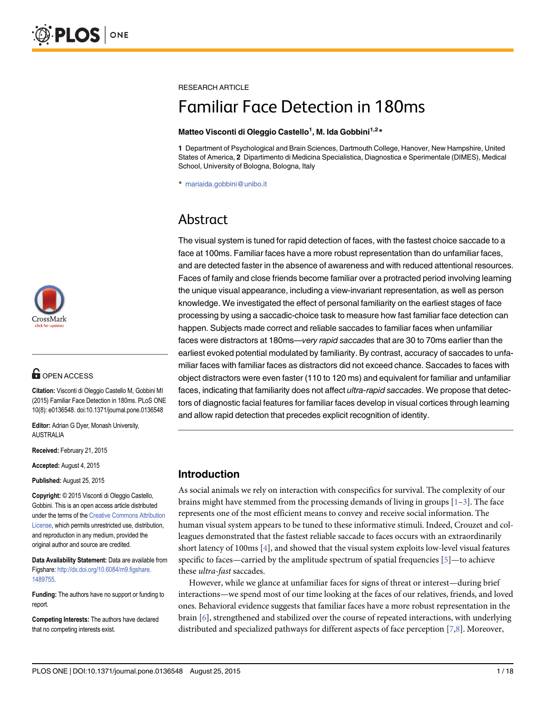

## **G** OPEN ACCESS

Citation: Visconti di Oleggio Castello M, Gobbini MI (2015) Familiar Face Detection in 180ms. PLoS ONE 10(8): e0136548. doi:10.1371/journal.pone.0136548

Editor: Adrian G Dyer, Monash University, AUSTRALIA

Received: February 21, 2015

Accepted: August 4, 2015

Published: August 25, 2015

Copyright: © 2015 Visconti di Oleggio Castello, Gobbini. This is an open access article distributed under the terms of the [Creative Commons Attribution](http://creativecommons.org/licenses/by/4.0/) [License](http://creativecommons.org/licenses/by/4.0/), which permits unrestricted use, distribution, and reproduction in any medium, provided the original author and source are credited.

Data Availability Statement: Data are available from Figshare: [http://dx.doi.org/10.6084/m9.figshare.](http://dx.doi.org/10.6084/m9.figshare.1489755) [1489755.](http://dx.doi.org/10.6084/m9.figshare.1489755)

Funding: The authors have no support or funding to report.

Competing Interests: The authors have declared that no competing interests exist.

<span id="page-1-0"></span>RESEARCH ARTICLE

# Familiar Face Detection in 180ms

#### Matteo Visconti di Oleggio Castello<sup>1</sup>, M. Ida Gobbini<sup>1,2</sup>\*

1 Department of Psychological and Brain Sciences, Dartmouth College, Hanover, New Hampshire, United States of America, 2 Dipartimento di Medicina Specialistica, Diagnostica e Sperimentale (DIMES), Medical School, University of Bologna, Bologna, Italy

\* mariaida.gobbini@unibo.it

## Abstract

The visual system is tuned for rapid detection of faces, with the fastest choice saccade to a face at 100ms. Familiar faces have a more robust representation than do unfamiliar faces, and are detected faster in the absence of awareness and with reduced attentional resources. Faces of family and close friends become familiar over a protracted period involving learning the unique visual appearance, including a view-invariant representation, as well as person knowledge. We investigated the effect of personal familiarity on the earliest stages of face processing by using a saccadic-choice task to measure how fast familiar face detection can happen. Subjects made correct and reliable saccades to familiar faces when unfamiliar faces were distractors at 180ms—very rapid saccades that are 30 to 70ms earlier than the earliest evoked potential modulated by familiarity. By contrast, accuracy of saccades to unfamiliar faces with familiar faces as distractors did not exceed chance. Saccades to faces with object distractors were even faster (110 to 120 ms) and equivalent for familiar and unfamiliar faces, indicating that familiarity does not affect ultra-rapid saccades. We propose that detectors of diagnostic facial features for familiar faces develop in visual cortices through learning and allow rapid detection that precedes explicit recognition of identity.

## Introduction

As social animals we rely on interaction with conspecifics for survival. The complexity of our brains might have stemmed from the processing demands of living in groups  $[1-3]$  $[1-3]$  $[1-3]$ . The face represents one of the most efficient means to convey and receive social information. The human visual system appears to be tuned to these informative stimuli. Indeed, Crouzet and colleagues demonstrated that the fastest reliable saccade to faces occurs with an extraordinarily short latency of 100ms [\[4](#page-15-0)], and showed that the visual system exploits low-level visual features specific to faces—carried by the amplitude spectrum of spatial frequencies  $[5]$  $[5]$ —to achieve these ultra-fast saccades.

However, while we glance at unfamiliar faces for signs of threat or interest—during brief interactions—we spend most of our time looking at the faces of our relatives, friends, and loved ones. Behavioral evidence suggests that familiar faces have a more robust representation in the brain [[6](#page-15-0)], strengthened and stabilized over the course of repeated interactions, with underlying distributed and specialized pathways for different aspects of face perception [\[7,8\]](#page-15-0). Moreover,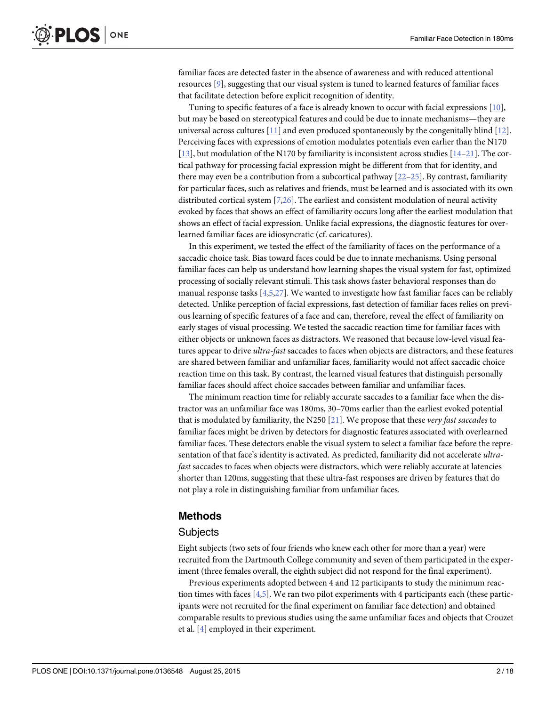<span id="page-2-0"></span>familiar faces are detected faster in the absence of awareness and with reduced attentional resources [[9\]](#page-15-0), suggesting that our visual system is tuned to learned features of familiar faces that facilitate detection before explicit recognition of identity.

Tuning to specific features of a face is already known to occur with facial expressions [[10\]](#page-15-0), but may be based on stereotypical features and could be due to innate mechanisms—they are universal across cultures  $[11]$  and even produced spontaneously by the congenitally blind  $[12]$ . Perceiving faces with expressions of emotion modulates potentials even earlier than the N170 [\[13](#page-15-0)], but modulation of the N170 by familiarity is inconsistent across studies [[14](#page-15-0)–[21](#page-16-0)]. The cortical pathway for processing facial expression might be different from that for identity, and there may even be a contribution from a subcortical pathway  $[22-25]$  $[22-25]$  $[22-25]$  $[22-25]$ . By contrast, familiarity for particular faces, such as relatives and friends, must be learned and is associated with its own distributed cortical system  $[7,26]$  $[7,26]$ . The earliest and consistent modulation of neural activity evoked by faces that shows an effect of familiarity occurs long after the earliest modulation that shows an effect of facial expression. Unlike facial expressions, the diagnostic features for overlearned familiar faces are idiosyncratic (cf. caricatures).

In this experiment, we tested the effect of the familiarity of faces on the performance of a saccadic choice task. Bias toward faces could be due to innate mechanisms. Using personal familiar faces can help us understand how learning shapes the visual system for fast, optimized processing of socially relevant stimuli. This task shows faster behavioral responses than do manual response tasks  $[4,5,27]$  $[4,5,27]$  $[4,5,27]$  $[4,5,27]$  $[4,5,27]$  $[4,5,27]$  $[4,5,27]$ . We wanted to investigate how fast familiar faces can be reliably detected. Unlike perception of facial expressions, fast detection of familiar faces relies on previous learning of specific features of a face and can, therefore, reveal the effect of familiarity on early stages of visual processing. We tested the saccadic reaction time for familiar faces with either objects or unknown faces as distractors. We reasoned that because low-level visual features appear to drive *ultra-fast* saccades to faces when objects are distractors, and these features are shared between familiar and unfamiliar faces, familiarity would not affect saccadic choice reaction time on this task. By contrast, the learned visual features that distinguish personally familiar faces should affect choice saccades between familiar and unfamiliar faces.

The minimum reaction time for reliably accurate saccades to a familiar face when the distractor was an unfamiliar face was 180ms, 30–70ms earlier than the earliest evoked potential that is modulated by familiarity, the N250  $[21]$ . We propose that these very fast saccades to familiar faces might be driven by detectors for diagnostic features associated with overlearned familiar faces. These detectors enable the visual system to select a familiar face before the representation of that face's identity is activated. As predicted, familiarity did not accelerate ultrafast saccades to faces when objects were distractors, which were reliably accurate at latencies shorter than 120ms, suggesting that these ultra-fast responses are driven by features that do not play a role in distinguishing familiar from unfamiliar faces.

### Methods

#### **Subjects**

Eight subjects (two sets of four friends who knew each other for more than a year) were recruited from the Dartmouth College community and seven of them participated in the experiment (three females overall, the eighth subject did not respond for the final experiment).

Previous experiments adopted between 4 and 12 participants to study the minimum reaction times with faces [[4,5\]](#page-15-0). We ran two pilot experiments with 4 participants each (these participants were not recruited for the final experiment on familiar face detection) and obtained comparable results to previous studies using the same unfamiliar faces and objects that Crouzet et al. [\[4\]](#page-15-0) employed in their experiment.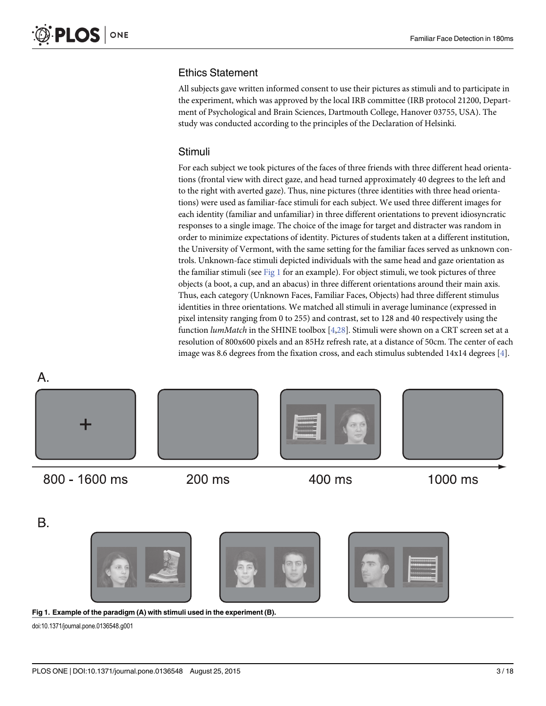## <span id="page-3-0"></span>Ethics Statement

All subjects gave written informed consent to use their pictures as stimuli and to participate in the experiment, which was approved by the local IRB committee (IRB protocol 21200, Department of Psychological and Brain Sciences, Dartmouth College, Hanover 03755, USA). The study was conducted according to the principles of the Declaration of Helsinki.

## Stimuli

For each subject we took pictures of the faces of three friends with three different head orientations (frontal view with direct gaze, and head turned approximately 40 degrees to the left and to the right with averted gaze). Thus, nine pictures (three identities with three head orientations) were used as familiar-face stimuli for each subject. We used three different images for each identity (familiar and unfamiliar) in three different orientations to prevent idiosyncratic responses to a single image. The choice of the image for target and distracter was random in order to minimize expectations of identity. Pictures of students taken at a different institution, the University of Vermont, with the same setting for the familiar faces served as unknown controls. Unknown-face stimuli depicted individuals with the same head and gaze orientation as the familiar stimuli (see Fig 1 for an example). For object stimuli, we took pictures of three objects (a boot, a cup, and an abacus) in three different orientations around their main axis. Thus, each category (Unknown Faces, Familiar Faces, Objects) had three different stimulus identities in three orientations. We matched all stimuli in average luminance (expressed in pixel intensity ranging from 0 to 255) and contrast, set to 128 and 40 respectively using the function *lumMatch* in the SHINE toolbox  $[4,28]$  $[4,28]$  $[4,28]$ . Stimuli were shown on a CRT screen set at a resolution of 800x600 pixels and an 85Hz refresh rate, at a distance of 50cm. The center of each image was 8.6 degrees from the fixation cross, and each stimulus subtended  $14x14$  degrees  $[4]$ .

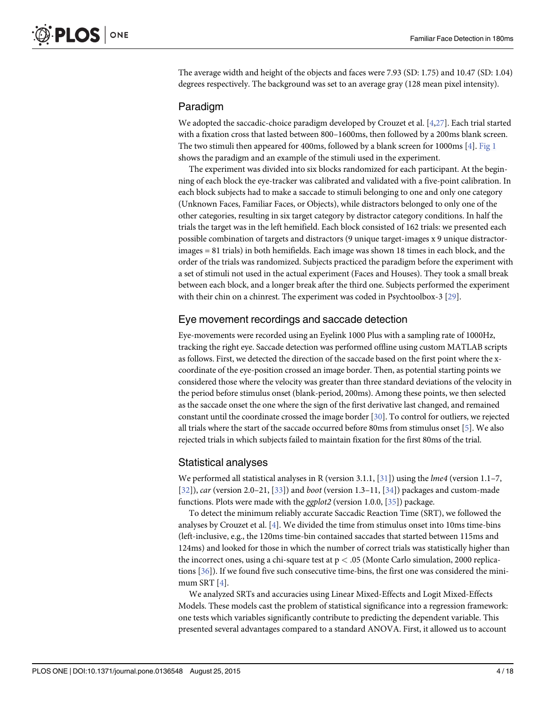<span id="page-4-0"></span>The average width and height of the objects and faces were 7.93 (SD: 1.75) and 10.47 (SD: 1.04) degrees respectively. The background was set to an average gray (128 mean pixel intensity).

### Paradigm

We adopted the saccadic-choice paradigm developed by Crouzet et al.  $[4,27]$  $[4,27]$  $[4,27]$  $[4,27]$ . Each trial started with a fixation cross that lasted between 800–1600ms, then followed by a 200ms blank screen. The two stimuli then appeared for 400ms, followed by a blank screen for 1000ms [[4\]](#page-15-0). [Fig 1](#page-3-0) shows the paradigm and an example of the stimuli used in the experiment.

The experiment was divided into six blocks randomized for each participant. At the beginning of each block the eye-tracker was calibrated and validated with a five-point calibration. In each block subjects had to make a saccade to stimuli belonging to one and only one category (Unknown Faces, Familiar Faces, or Objects), while distractors belonged to only one of the other categories, resulting in six target category by distractor category conditions. In half the trials the target was in the left hemifield. Each block consisted of 162 trials: we presented each possible combination of targets and distractors (9 unique target-images x 9 unique distractorimages = 81 trials) in both hemifields. Each image was shown 18 times in each block, and the order of the trials was randomized. Subjects practiced the paradigm before the experiment with a set of stimuli not used in the actual experiment (Faces and Houses). They took a small break between each block, and a longer break after the third one. Subjects performed the experiment with their chin on a chinrest. The experiment was coded in Psychtoolbox-3 [\[29\]](#page-16-0).

### Eye movement recordings and saccade detection

Eye-movements were recorded using an Eyelink 1000 Plus with a sampling rate of 1000Hz, tracking the right eye. Saccade detection was performed offline using custom MATLAB scripts as follows. First, we detected the direction of the saccade based on the first point where the xcoordinate of the eye-position crossed an image border. Then, as potential starting points we considered those where the velocity was greater than three standard deviations of the velocity in the period before stimulus onset (blank-period, 200ms). Among these points, we then selected as the saccade onset the one where the sign of the first derivative last changed, and remained constant until the coordinate crossed the image border [\[30\]](#page-16-0). To control for outliers, we rejected all trials where the start of the saccade occurred before 80ms from stimulus onset [\[5](#page-15-0)]. We also rejected trials in which subjects failed to maintain fixation for the first 80ms of the trial.

## Statistical analyses

We performed all statistical analyses in R (version 3.1.1,  $[31]$ ) using the *lme4* (version 1.1–7,  $[32]$  $[32]$ ), car (version 2.0–21,  $[33]$  $[33]$  $[33]$ ) and boot (version 1.3–11,  $[34]$ ) packages and custom-made functions. Plots were made with the *ggplot2* (version 1.0.0, [[35\]](#page-16-0)) package.

To detect the minimum reliably accurate Saccadic Reaction Time (SRT), we followed the analyses by Crouzet et al.  $[4]$  $[4]$ . We divided the time from stimulus onset into 10ms time-bins (left-inclusive, e.g., the 120ms time-bin contained saccades that started between 115ms and 124ms) and looked for those in which the number of correct trials was statistically higher than the incorrect ones, using a chi-square test at  $p < .05$  (Monte Carlo simulation, 2000 replications  $[36]$ . If we found five such consecutive time-bins, the first one was considered the minimum SRT  $[4]$  $[4]$ .

We analyzed SRTs and accuracies using Linear Mixed-Effects and Logit Mixed-Effects Models. These models cast the problem of statistical significance into a regression framework: one tests which variables significantly contribute to predicting the dependent variable. This presented several advantages compared to a standard ANOVA. First, it allowed us to account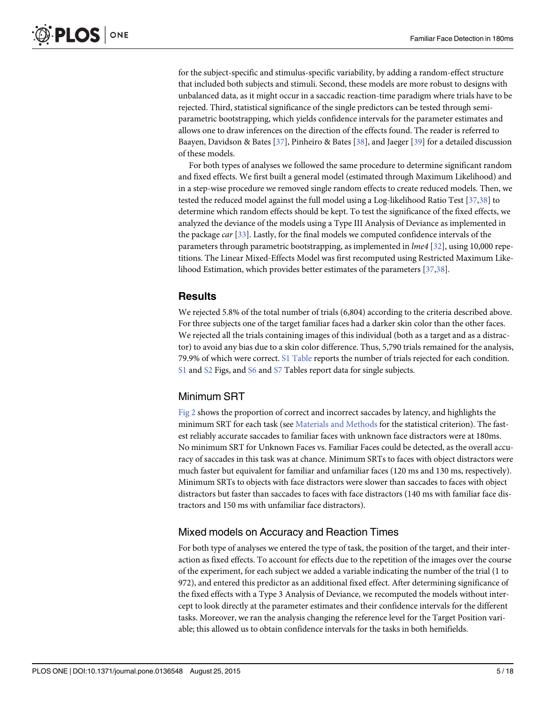<span id="page-5-0"></span>for the subject-specific and stimulus-specific variability, by adding a random-effect structure that included both subjects and stimuli. Second, these models are more robust to designs with unbalanced data, as it might occur in a saccadic reaction-time paradigm where trials have to be rejected. Third, statistical significance of the single predictors can be tested through semiparametric bootstrapping, which yields confidence intervals for the parameter estimates and allows one to draw inferences on the direction of the effects found. The reader is referred to Baayen, Davidson & Bates [[37](#page-16-0)], Pinheiro & Bates [[38](#page-16-0)], and Jaeger [\[39\]](#page-16-0) for a detailed discussion of these models.

For both types of analyses we followed the same procedure to determine significant random and fixed effects. We first built a general model (estimated through Maximum Likelihood) and in a step-wise procedure we removed single random effects to create reduced models. Then, we tested the reduced model against the full model using a Log-likelihood Ratio Test [[37,38](#page-16-0)] to determine which random effects should be kept. To test the significance of the fixed effects, we analyzed the deviance of the models using a Type III Analysis of Deviance as implemented in the package car [[33](#page-16-0)]. Lastly, for the final models we computed confidence intervals of the parameters through parametric bootstrapping, as implemented in lme4 [[32\]](#page-16-0), using 10,000 repetitions. The Linear Mixed-Effects Model was first recomputed using Restricted Maximum Likelihood Estimation, which provides better estimates of the parameters [[37,38\]](#page-16-0).

## Results

We rejected 5.8% of the total number of trials (6,804) according to the criteria described above. For three subjects one of the target familiar faces had a darker skin color than the other faces. We rejected all the trials containing images of this individual (both as a target and as a distractor) to avoid any bias due to a skin color difference. Thus, 5,790 trials remained for the analysis, 79.9% of which were correct. [S1 Table](#page-14-0) reports the number of trials rejected for each condition. [S1](#page-14-0) and [S2](#page-14-0) Figs, and [S6](#page-14-0) and [S7](#page-14-0) Tables report data for single subjects.

## Minimum SRT

[Fig 2](#page-6-0) shows the proportion of correct and incorrect saccades by latency, and highlights the minimum SRT for each task (see [Materials and Methods](#page-2-0) for the statistical criterion). The fastest reliably accurate saccades to familiar faces with unknown face distractors were at 180ms. No minimum SRT for Unknown Faces vs. Familiar Faces could be detected, as the overall accuracy of saccades in this task was at chance. Minimum SRTs to faces with object distractors were much faster but equivalent for familiar and unfamiliar faces (120 ms and 130 ms, respectively). Minimum SRTs to objects with face distractors were slower than saccades to faces with object distractors but faster than saccades to faces with face distractors (140 ms with familiar face distractors and 150 ms with unfamiliar face distractors).

## Mixed models on Accuracy and Reaction Times

For both type of analyses we entered the type of task, the position of the target, and their interaction as fixed effects. To account for effects due to the repetition of the images over the course of the experiment, for each subject we added a variable indicating the number of the trial (1 to 972), and entered this predictor as an additional fixed effect. After determining significance of the fixed effects with a Type 3 Analysis of Deviance, we recomputed the models without intercept to look directly at the parameter estimates and their confidence intervals for the different tasks. Moreover, we ran the analysis changing the reference level for the Target Position variable; this allowed us to obtain confidence intervals for the tasks in both hemifields.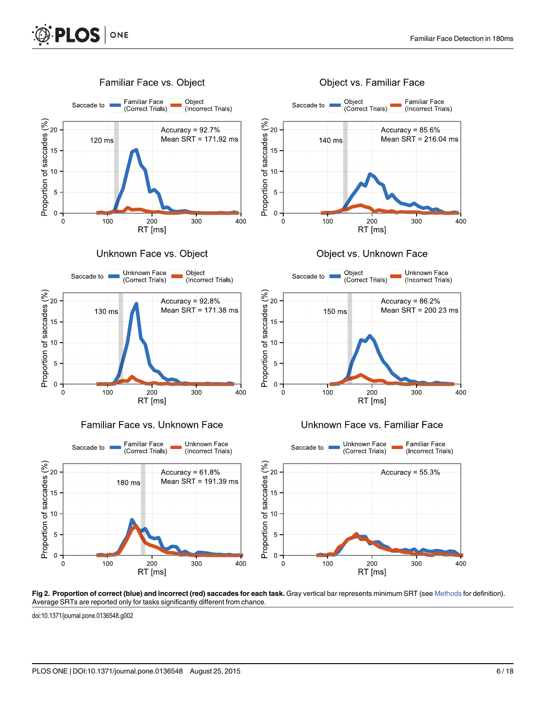<span id="page-6-0"></span>

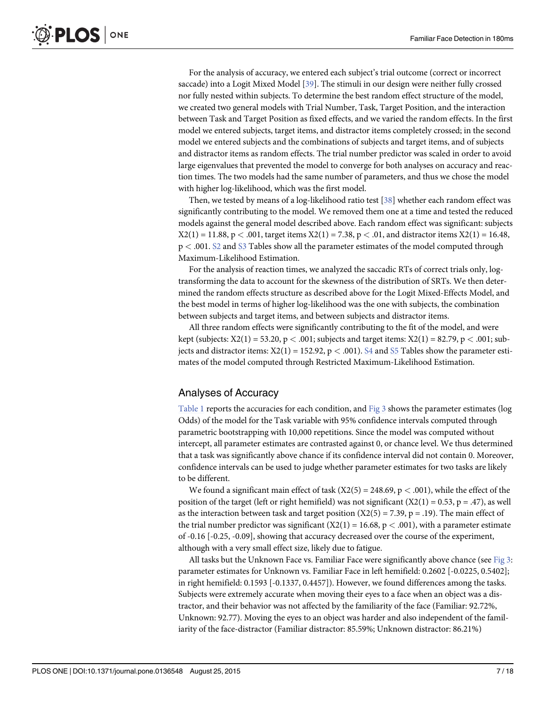<span id="page-7-0"></span>For the analysis of accuracy, we entered each subject's trial outcome (correct or incorrect saccade) into a Logit Mixed Model [\[39](#page-16-0)]. The stimuli in our design were neither fully crossed nor fully nested within subjects. To determine the best random effect structure of the model, we created two general models with Trial Number, Task, Target Position, and the interaction between Task and Target Position as fixed effects, and we varied the random effects. In the first model we entered subjects, target items, and distractor items completely crossed; in the second model we entered subjects and the combinations of subjects and target items, and of subjects and distractor items as random effects. The trial number predictor was scaled in order to avoid large eigenvalues that prevented the model to converge for both analyses on accuracy and reaction times. The two models had the same number of parameters, and thus we chose the model with higher log-likelihood, which was the first model.

Then, we tested by means of a log-likelihood ratio test [[38](#page-16-0)] whether each random effect was significantly contributing to the model. We removed them one at a time and tested the reduced models against the general model described above. Each random effect was significant: subjects  $X2(1) = 11.88$ ,  $p < .001$ , target items  $X2(1) = 7.38$ ,  $p < .01$ , and distractor items  $X2(1) = 16.48$ , p < .001. [S2](#page-14-0) and [S3](#page-14-0) Tables show all the parameter estimates of the model computed through Maximum-Likelihood Estimation.

For the analysis of reaction times, we analyzed the saccadic RTs of correct trials only, logtransforming the data to account for the skewness of the distribution of SRTs. We then determined the random effects structure as described above for the Logit Mixed-Effects Model, and the best model in terms of higher log-likelihood was the one with subjects, the combination between subjects and target items, and between subjects and distractor items.

All three random effects were significantly contributing to the fit of the model, and were kept (subjects:  $X2(1) = 53.20$ ,  $p < .001$ ; subjects and target items:  $X2(1) = 82.79$ ,  $p < .001$ ; subjects and distractor items:  $X2(1) = 152.92$ ,  $p < .001$ ). [S4](#page-14-0) and [S5](#page-14-0) Tables show the parameter estimates of the model computed through Restricted Maximum-Likelihood Estimation.

## Analyses of Accuracy

[Table 1](#page-8-0) reports the accuracies for each condition, and [Fig 3](#page-9-0) shows the parameter estimates (log Odds) of the model for the Task variable with 95% confidence intervals computed through parametric bootstrapping with 10,000 repetitions. Since the model was computed without intercept, all parameter estimates are contrasted against 0, or chance level. We thus determined that a task was significantly above chance if its confidence interval did not contain 0. Moreover, confidence intervals can be used to judge whether parameter estimates for two tasks are likely to be different.

We found a significant main effect of task ( $X2(5) = 248.69$ ,  $p < .001$ ), while the effect of the position of the target (left or right hemifield) was not significant  $(X2(1) = 0.53, p = .47)$ , as well as the interaction between task and target position  $(X2(5) = 7.39, p = .19)$ . The main effect of the trial number predictor was significant  $(X2(1) = 16.68, p < .001)$ , with a parameter estimate of -0.16 [-0.25, -0.09], showing that accuracy decreased over the course of the experiment, although with a very small effect size, likely due to fatigue.

All tasks but the Unknown Face vs. Familiar Face were significantly above chance (see  $Fig 3$ : parameter estimates for Unknown vs. Familiar Face in left hemifield: 0.2602 [-0.0225, 0.5402]; in right hemifield: 0.1593 [-0.1337, 0.4457]). However, we found differences among the tasks. Subjects were extremely accurate when moving their eyes to a face when an object was a distractor, and their behavior was not affected by the familiarity of the face (Familiar: 92.72%, Unknown: 92.77). Moving the eyes to an object was harder and also independent of the familiarity of the face-distractor (Familiar distractor: 85.59%; Unknown distractor: 86.21%)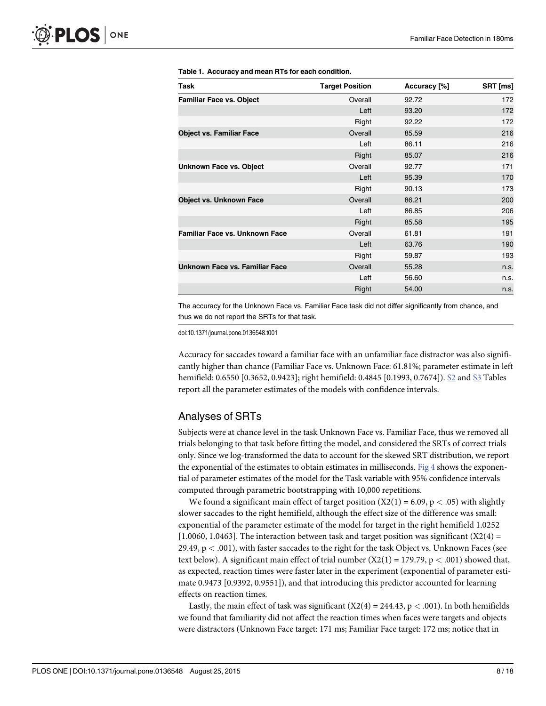| Task                                  | <b>Target Position</b> | Accuracy [%] | SRT [ms] |
|---------------------------------------|------------------------|--------------|----------|
| <b>Familiar Face vs. Object</b>       | Overall                | 92.72        | 172      |
|                                       | Left                   | 93.20        | 172      |
|                                       | Right                  | 92.22        | 172      |
| <b>Object vs. Familiar Face</b>       | Overall                | 85.59        | 216      |
|                                       | Left                   | 86.11        | 216      |
|                                       | Right                  | 85.07        | 216      |
| <b>Unknown Face vs. Object</b>        | Overall                | 92.77        | 171      |
|                                       | Left                   | 95.39        | 170      |
|                                       | Right                  | 90.13        | 173      |
| <b>Object vs. Unknown Face</b>        | Overall                | 86.21        | 200      |
|                                       | Left                   | 86.85        | 206      |
|                                       | Right                  | 85.58        | 195      |
| Familiar Face vs. Unknown Face        | Overall                | 61.81        | 191      |
|                                       | Left                   | 63.76        | 190      |
|                                       | Right                  | 59.87        | 193      |
| <b>Unknown Face vs. Familiar Face</b> | Overall                | 55.28        | n.s.     |
|                                       | Left                   | 56.60        | n.s.     |
|                                       | Right                  | 54.00        | n.s.     |

#### <span id="page-8-0"></span>[Table 1.](#page-7-0) Accuracy and mean RTs for each condition.

The accuracy for the Unknown Face vs. Familiar Face task did not differ significantly from chance, and thus we do not report the SRTs for that task.

doi:10.1371/journal.pone.0136548.t001

Accuracy for saccades toward a familiar face with an unfamiliar face distractor was also significantly higher than chance (Familiar Face vs. Unknown Face: 61.81%; parameter estimate in left hemifield: 0.6550 [0.3652, 0.9423]; right hemifield: 0.4845 [0.1993, 0.7674]). [S2](#page-14-0) and [S3](#page-14-0) Tables report all the parameter estimates of the models with confidence intervals.

## Analyses of SRTs

Subjects were at chance level in the task Unknown Face vs. Familiar Face, thus we removed all trials belonging to that task before fitting the model, and considered the SRTs of correct trials only. Since we log-transformed the data to account for the skewed SRT distribution, we report the exponential of the estimates to obtain estimates in milliseconds. [Fig 4](#page-10-0) shows the exponential of parameter estimates of the model for the Task variable with 95% confidence intervals computed through parametric bootstrapping with 10,000 repetitions.

We found a significant main effect of target position  $(X2(1) = 6.09, p < .05)$  with slightly slower saccades to the right hemifield, although the effect size of the difference was small: exponential of the parameter estimate of the model for target in the right hemifield 1.0252  $[1.0060, 1.0463]$ . The interaction between task and target position was significant  $(X2(4) =$ 29.49,  $p < .001$ ), with faster saccades to the right for the task Object vs. Unknown Faces (see text below). A significant main effect of trial number  $(X2(1) = 179.79, p < .001)$  showed that, as expected, reaction times were faster later in the experiment (exponential of parameter estimate 0.9473 [0.9392, 0.9551]), and that introducing this predictor accounted for learning effects on reaction times.

Lastly, the main effect of task was significant  $(X2(4) = 244.43, p < .001)$ . In both hemifields we found that familiarity did not affect the reaction times when faces were targets and objects were distractors (Unknown Face target: 171 ms; Familiar Face target: 172 ms; notice that in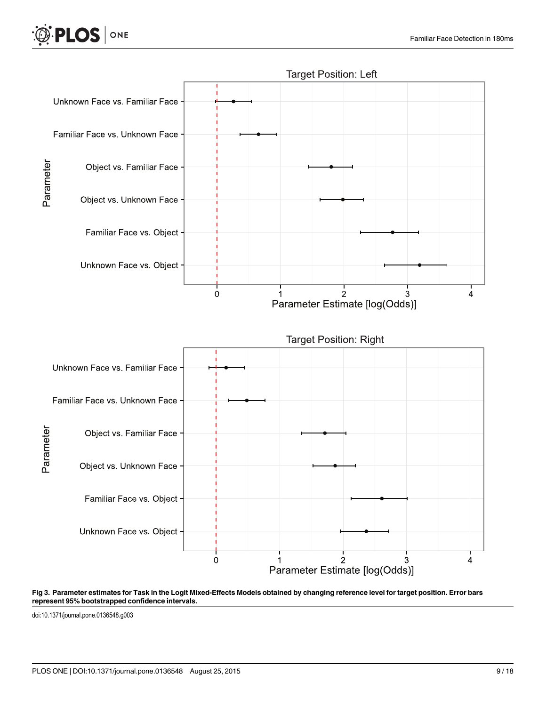<span id="page-9-0"></span>



#### [Fig 3. P](#page-7-0)arameter estimates for Task in the Logit Mixed-Effects Models obtained by changing reference level for target position. Error bars represent 95% bootstrapped confidence intervals.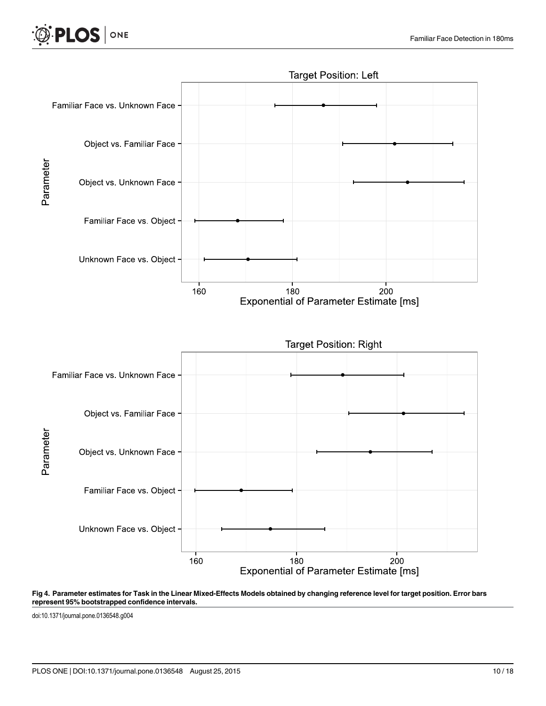<span id="page-10-0"></span>

#### [Fig 4. P](#page-8-0)arameter estimates for Task in the Linear Mixed-Effects Models obtained by changing reference level for target position. Error bars represent 95% bootstrapped confidence intervals.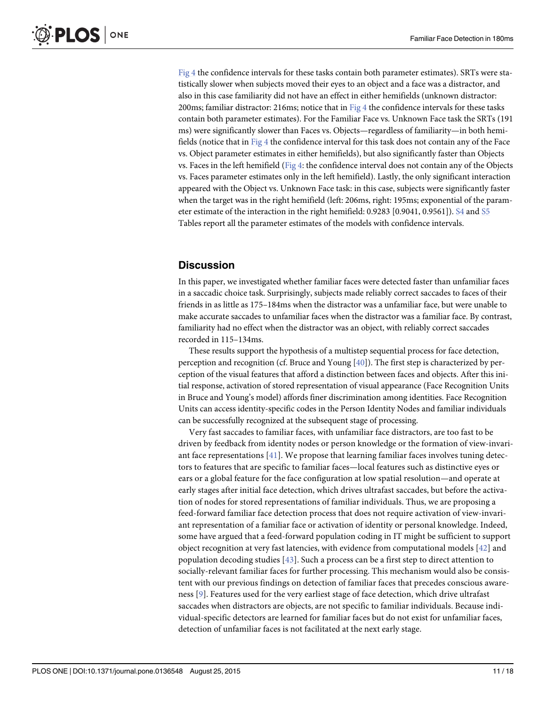<span id="page-11-0"></span>[Fig 4](#page-10-0) the confidence intervals for these tasks contain both parameter estimates). SRTs were statistically slower when subjects moved their eyes to an object and a face was a distractor, and also in this case familiarity did not have an effect in either hemifields (unknown distractor: 200ms; familiar distractor: 216ms; notice that in  $Fig 4$  the confidence intervals for these tasks contain both parameter estimates). For the Familiar Face vs. Unknown Face task the SRTs (191 ms) were significantly slower than Faces vs. Objects—regardless of familiarity—in both hemi-fields (notice that in [Fig 4](#page-10-0) the confidence interval for this task does not contain any of the Face vs. Object parameter estimates in either hemifields), but also significantly faster than Objects vs. Faces in the left hemifield ( $Fig 4$ : the confidence interval does not contain any of the Objects vs. Faces parameter estimates only in the left hemifield). Lastly, the only significant interaction appeared with the Object vs. Unknown Face task: in this case, subjects were significantly faster when the target was in the right hemifield (left: 206ms, right: 195ms; exponential of the parameter estimate of the interaction in the right hemifield: 0.9283 [0.9041, 0.9561]). [S4](#page-14-0) and [S5](#page-14-0) Tables report all the parameter estimates of the models with confidence intervals.

## **Discussion**

In this paper, we investigated whether familiar faces were detected faster than unfamiliar faces in a saccadic choice task. Surprisingly, subjects made reliably correct saccades to faces of their friends in as little as 175–184ms when the distractor was a unfamiliar face, but were unable to make accurate saccades to unfamiliar faces when the distractor was a familiar face. By contrast, familiarity had no effect when the distractor was an object, with reliably correct saccades recorded in 115–134ms.

These results support the hypothesis of a multistep sequential process for face detection, perception and recognition (cf. Bruce and Young [\[40](#page-16-0)]). The first step is characterized by perception of the visual features that afford a distinction between faces and objects. After this initial response, activation of stored representation of visual appearance (Face Recognition Units in Bruce and Young's model) affords finer discrimination among identities. Face Recognition Units can access identity-specific codes in the Person Identity Nodes and familiar individuals can be successfully recognized at the subsequent stage of processing.

Very fast saccades to familiar faces, with unfamiliar face distractors, are too fast to be driven by feedback from identity nodes or person knowledge or the formation of view-invariant face representations  $[41]$  $[41]$ . We propose that learning familiar faces involves tuning detectors to features that are specific to familiar faces—local features such as distinctive eyes or ears or a global feature for the face configuration at low spatial resolution—and operate at early stages after initial face detection, which drives ultrafast saccades, but before the activation of nodes for stored representations of familiar individuals. Thus, we are proposing a feed-forward familiar face detection process that does not require activation of view-invariant representation of a familiar face or activation of identity or personal knowledge. Indeed, some have argued that a feed-forward population coding in IT might be sufficient to support object recognition at very fast latencies, with evidence from computational models [\[42\]](#page-16-0) and population decoding studies  $[43]$  $[43]$ . Such a process can be a first step to direct attention to socially-relevant familiar faces for further processing. This mechanism would also be consistent with our previous findings on detection of familiar faces that precedes conscious awareness [[9\]](#page-15-0). Features used for the very earliest stage of face detection, which drive ultrafast saccades when distractors are objects, are not specific to familiar individuals. Because individual-specific detectors are learned for familiar faces but do not exist for unfamiliar faces, detection of unfamiliar faces is not facilitated at the next early stage.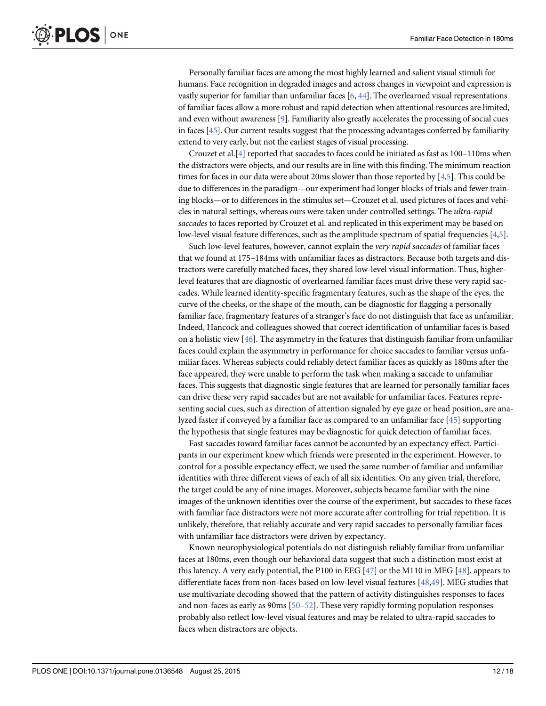<span id="page-12-0"></span>Personally familiar faces are among the most highly learned and salient visual stimuli for humans. Face recognition in degraded images and across changes in viewpoint and expression is vastly superior for familiar than unfamiliar faces  $[6, 44]$  $[6, 44]$  $[6, 44]$  $[6, 44]$  $[6, 44]$ . The overlearned visual representations of familiar faces allow a more robust and rapid detection when attentional resources are limited, and even without awareness [[9](#page-15-0)]. Familiarity also greatly accelerates the processing of social cues in faces  $[45]$ . Our current results suggest that the processing advantages conferred by familiarity extend to very early, but not the earliest stages of visual processing.

Crouzet et al.[\[4](#page-15-0)] reported that saccades to faces could be initiated as fast as 100–110ms when the distractors were objects, and our results are in line with this finding. The minimum reaction times for faces in our data were about 20ms slower than those reported by [\[4,5\]](#page-15-0). This could be due to differences in the paradigm—our experiment had longer blocks of trials and fewer training blocks—or to differences in the stimulus set—Crouzet et al. used pictures of faces and vehicles in natural settings, whereas ours were taken under controlled settings. The ultra-rapid saccades to faces reported by Crouzet et al. and replicated in this experiment may be based on low-level visual feature differences, such as the amplitude spectrum of spatial frequencies [[4,5](#page-15-0)].

Such low-level features, however, cannot explain the very rapid saccades of familiar faces that we found at 175–184ms with unfamiliar faces as distractors. Because both targets and distractors were carefully matched faces, they shared low-level visual information. Thus, higherlevel features that are diagnostic of overlearned familiar faces must drive these very rapid saccades. While learned identity-specific fragmentary features, such as the shape of the eyes, the curve of the cheeks, or the shape of the mouth, can be diagnostic for flagging a personally familiar face, fragmentary features of a stranger's face do not distinguish that face as unfamiliar. Indeed, Hancock and colleagues showed that correct identification of unfamiliar faces is based on a holistic view  $[46]$ . The asymmetry in the features that distinguish familiar from unfamiliar faces could explain the asymmetry in performance for choice saccades to familiar versus unfamiliar faces. Whereas subjects could reliably detect familiar faces as quickly as 180ms after the face appeared, they were unable to perform the task when making a saccade to unfamiliar faces. This suggests that diagnostic single features that are learned for personally familiar faces can drive these very rapid saccades but are not available for unfamiliar faces. Features representing social cues, such as direction of attention signaled by eye gaze or head position, are analyzed faster if conveyed by a familiar face as compared to an unfamiliar face [[45](#page-17-0)] supporting the hypothesis that single features may be diagnostic for quick detection of familiar faces.

Fast saccades toward familiar faces cannot be accounted by an expectancy effect. Participants in our experiment knew which friends were presented in the experiment. However, to control for a possible expectancy effect, we used the same number of familiar and unfamiliar identities with three different views of each of all six identities. On any given trial, therefore, the target could be any of nine images. Moreover, subjects became familiar with the nine images of the unknown identities over the course of the experiment, but saccades to these faces with familiar face distractors were not more accurate after controlling for trial repetition. It is unlikely, therefore, that reliably accurate and very rapid saccades to personally familiar faces with unfamiliar face distractors were driven by expectancy.

Known neurophysiological potentials do not distinguish reliably familiar from unfamiliar faces at 180ms, even though our behavioral data suggest that such a distinction must exist at this latency. A very early potential, the P100 in EEG  $[47]$  or the M110 in MEG  $[48]$  $[48]$  $[48]$ , appears to differentiate faces from non-faces based on low-level visual features [[48](#page-17-0),[49](#page-17-0)]. MEG studies that use multivariate decoding showed that the pattern of activity distinguishes responses to faces and non-faces as early as  $90 \text{ms}$  [ $50 - 52$  $50 - 52$ ]. These very rapidly forming population responses probably also reflect low-level visual features and may be related to ultra-rapid saccades to faces when distractors are objects.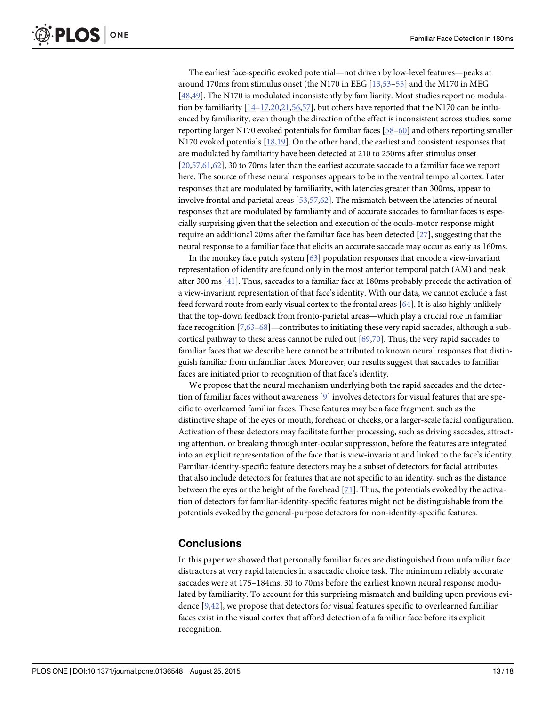<span id="page-13-0"></span>The earliest face-specific evoked potential—not driven by low-level features—peaks at around 170ms from stimulus onset (the N170 in EEG [\[13](#page-15-0)[,53](#page-17-0)–[55](#page-17-0)] and the M170 in MEG [\[48,49\]](#page-17-0). The N170 is modulated inconsistently by familiarity. Most studies report no modulation by familiarity  $[14–17,20,21,56,57]$  $[14–17,20,21,56,57]$  $[14–17,20,21,56,57]$  $[14–17,20,21,56,57]$  $[14–17,20,21,56,57]$  $[14–17,20,21,56,57]$  $[14–17,20,21,56,57]$ , but others have reported that the N170 can be influenced by familiarity, even though the direction of the effect is inconsistent across studies, some reporting larger N170 evoked potentials for familiar faces [\[58](#page-17-0)–[60](#page-17-0)] and others reporting smaller N170 evoked potentials [[18](#page-15-0),[19](#page-16-0)]. On the other hand, the earliest and consistent responses that are modulated by familiarity have been detected at 210 to 250ms after stimulus onset [\[20](#page-16-0)[,57,61,62](#page-17-0)], 30 to 70ms later than the earliest accurate saccade to a familiar face we report here. The source of these neural responses appears to be in the ventral temporal cortex. Later responses that are modulated by familiarity, with latencies greater than 300ms, appear to involve frontal and parietal areas  $[53,57,62]$ . The mismatch between the latencies of neural responses that are modulated by familiarity and of accurate saccades to familiar faces is especially surprising given that the selection and execution of the oculo-motor response might require an additional 20ms after the familiar face has been detected [\[27](#page-16-0)], suggesting that the neural response to a familiar face that elicits an accurate saccade may occur as early as 160ms.

In the monkey face patch system [\[63\]](#page-17-0) population responses that encode a view-invariant representation of identity are found only in the most anterior temporal patch (AM) and peak after 300 ms [\[41\]](#page-16-0). Thus, saccades to a familiar face at 180ms probably precede the activation of a view-invariant representation of that face's identity. With our data, we cannot exclude a fast feed forward route from early visual cortex to the frontal areas [\[64\]](#page-17-0). It is also highly unlikely that the top-down feedback from fronto-parietal areas—which play a crucial role in familiar face recognition [\[7](#page-15-0)[,63](#page-17-0)-[68](#page-18-0)]—contributes to initiating these very rapid saccades, although a subcortical pathway to these areas cannot be ruled out  $[69,70]$  $[69,70]$ . Thus, the very rapid saccades to familiar faces that we describe here cannot be attributed to known neural responses that distinguish familiar from unfamiliar faces. Moreover, our results suggest that saccades to familiar faces are initiated prior to recognition of that face's identity.

We propose that the neural mechanism underlying both the rapid saccades and the detection of familiar faces without awareness [\[9](#page-15-0)] involves detectors for visual features that are specific to overlearned familiar faces. These features may be a face fragment, such as the distinctive shape of the eyes or mouth, forehead or cheeks, or a larger-scale facial configuration. Activation of these detectors may facilitate further processing, such as driving saccades, attracting attention, or breaking through inter-ocular suppression, before the features are integrated into an explicit representation of the face that is view-invariant and linked to the face's identity. Familiar-identity-specific feature detectors may be a subset of detectors for facial attributes that also include detectors for features that are not specific to an identity, such as the distance between the eyes or the height of the forehead [[71](#page-18-0)]. Thus, the potentials evoked by the activation of detectors for familiar-identity-specific features might not be distinguishable from the potentials evoked by the general-purpose detectors for non-identity-specific features.

## **Conclusions**

In this paper we showed that personally familiar faces are distinguished from unfamiliar face distractors at very rapid latencies in a saccadic choice task. The minimum reliably accurate saccades were at 175–184ms, 30 to 70ms before the earliest known neural response modulated by familiarity. To account for this surprising mismatch and building upon previous evidence [\[9](#page-15-0)[,42](#page-16-0)], we propose that detectors for visual features specific to overlearned familiar faces exist in the visual cortex that afford detection of a familiar face before its explicit recognition.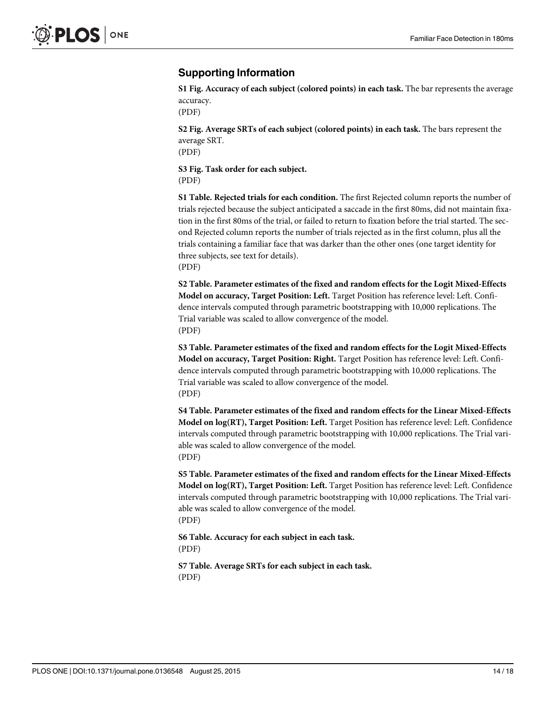## <span id="page-14-0"></span>Supporting Information

[S1 Fig.](http://www.plosone.org/article/fetchSingleRepresentation.action?uri=info:doi/10.1371/journal.pone.0136548.s001) Accuracy of each subject (colored points) in each task. The bar represents the average accuracy.

(PDF)

[S2 Fig.](http://www.plosone.org/article/fetchSingleRepresentation.action?uri=info:doi/10.1371/journal.pone.0136548.s002) Average SRTs of each subject (colored points) in each task. The bars represent the average SRT.

(PDF)

[S3 Fig.](http://www.plosone.org/article/fetchSingleRepresentation.action?uri=info:doi/10.1371/journal.pone.0136548.s003) Task order for each subject. (PDF)

[S1 Table](http://www.plosone.org/article/fetchSingleRepresentation.action?uri=info:doi/10.1371/journal.pone.0136548.s004). Rejected trials for each condition. The first Rejected column reports the number of trials rejected because the subject anticipated a saccade in the first 80ms, did not maintain fixation in the first 80ms of the trial, or failed to return to fixation before the trial started. The second Rejected column reports the number of trials rejected as in the first column, plus all the trials containing a familiar face that was darker than the other ones (one target identity for three subjects, see text for details). (PDF)

[S2 Table](http://www.plosone.org/article/fetchSingleRepresentation.action?uri=info:doi/10.1371/journal.pone.0136548.s005). Parameter estimates of the fixed and random effects for the Logit Mixed-Effects Model on accuracy, Target Position: Left. Target Position has reference level: Left. Confidence intervals computed through parametric bootstrapping with 10,000 replications. The Trial variable was scaled to allow convergence of the model. (PDF)

[S3 Table](http://www.plosone.org/article/fetchSingleRepresentation.action?uri=info:doi/10.1371/journal.pone.0136548.s006). Parameter estimates of the fixed and random effects for the Logit Mixed-Effects Model on accuracy, Target Position: Right. Target Position has reference level: Left. Confidence intervals computed through parametric bootstrapping with 10,000 replications. The Trial variable was scaled to allow convergence of the model. (PDF)

[S4 Table](http://www.plosone.org/article/fetchSingleRepresentation.action?uri=info:doi/10.1371/journal.pone.0136548.s007). Parameter estimates of the fixed and random effects for the Linear Mixed-Effects Model on log(RT), Target Position: Left. Target Position has reference level: Left. Confidence intervals computed through parametric bootstrapping with 10,000 replications. The Trial variable was scaled to allow convergence of the model. (PDF)

[S5 Table](http://www.plosone.org/article/fetchSingleRepresentation.action?uri=info:doi/10.1371/journal.pone.0136548.s008). Parameter estimates of the fixed and random effects for the Linear Mixed-Effects Model on log(RT), Target Position: Left. Target Position has reference level: Left. Confidence intervals computed through parametric bootstrapping with 10,000 replications. The Trial variable was scaled to allow convergence of the model. (PDF)

[S6 Table](http://www.plosone.org/article/fetchSingleRepresentation.action?uri=info:doi/10.1371/journal.pone.0136548.s009). Accuracy for each subject in each task. (PDF)

[S7 Table](http://www.plosone.org/article/fetchSingleRepresentation.action?uri=info:doi/10.1371/journal.pone.0136548.s010). Average SRTs for each subject in each task. (PDF)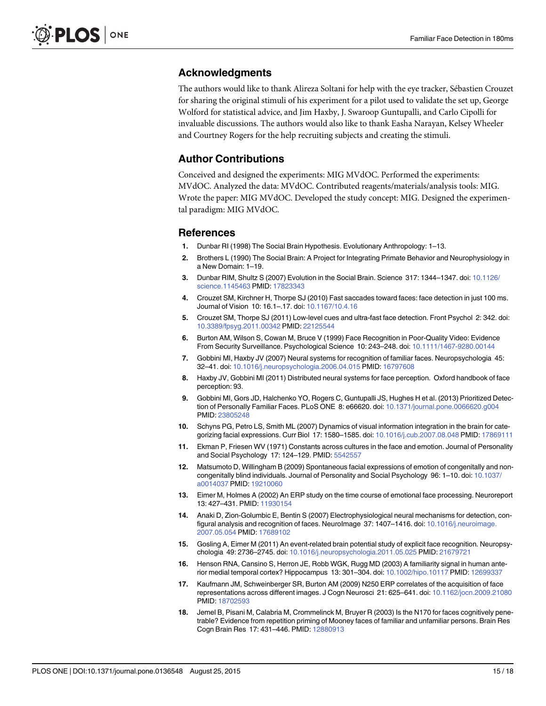## <span id="page-15-0"></span>Acknowledgments

The authors would like to thank Alireza Soltani for help with the eye tracker, Sébastien Crouzet for sharing the original stimuli of his experiment for a pilot used to validate the set up, George Wolford for statistical advice, and Jim Haxby, J. Swaroop Guntupalli, and Carlo Cipolli for invaluable discussions. The authors would also like to thank Easha Narayan, Kelsey Wheeler and Courtney Rogers for the help recruiting subjects and creating the stimuli.

### Author Contributions

Conceived and designed the experiments: MIG MVdOC. Performed the experiments: MVdOC. Analyzed the data: MVdOC. Contributed reagents/materials/analysis tools: MIG. Wrote the paper: MIG MVdOC. Developed the study concept: MIG. Designed the experimental paradigm: MIG MVdOC.

#### References

- [1.](#page-1-0) Dunbar RI (1998) The Social Brain Hypothesis. Evolutionary Anthropology: 1–13.
- 2. Brothers L (1990) The Social Brain: A Project for Integrating Primate Behavior and Neurophysiology in a New Domain: 1–19.
- [3.](#page-1-0) Dunbar RIM, Shultz S (2007) Evolution in the Social Brain. Science 317: 1344–1347. doi: [10.1126/](http://dx.doi.org/10.1126/science.1145463) [science.1145463](http://dx.doi.org/10.1126/science.1145463) PMID: [17823343](http://www.ncbi.nlm.nih.gov/pubmed/17823343)
- [4.](#page-1-0) Crouzet SM, Kirchner H, Thorpe SJ (2010) Fast saccades toward faces: face detection in just 100 ms. Journal of Vision 10: 16.1–.17. doi: [10.1167/10.4.16](http://dx.doi.org/10.1167/10.4.16)
- [5.](#page-1-0) Crouzet SM, Thorpe SJ (2011) Low-level cues and ultra-fast face detection. Front Psychol 2: 342. doi: [10.3389/fpsyg.2011.00342](http://dx.doi.org/10.3389/fpsyg.2011.00342) PMID: [22125544](http://www.ncbi.nlm.nih.gov/pubmed/22125544)
- [6.](#page-1-0) Burton AM, Wilson S, Cowan M, Bruce V (1999) Face Recognition in Poor-Quality Video: Evidence From Security Surveillance. Psychological Science 10: 243–248. doi: [10.1111/1467-9280.00144](http://dx.doi.org/10.1111/1467-9280.00144)
- [7.](#page-1-0) Gobbini MI, Haxby JV (2007) Neural systems for recognition of familiar faces. Neuropsychologia 45: 32–41. doi: [10.1016/j.neuropsychologia.2006.04.015](http://dx.doi.org/10.1016/j.neuropsychologia.2006.04.015) PMID: [16797608](http://www.ncbi.nlm.nih.gov/pubmed/16797608)
- [8.](#page-1-0) Haxby JV, Gobbini MI (2011) Distributed neural systems for face perception. Oxford handbook of face perception: 93.
- [9.](#page-2-0) Gobbini MI, Gors JD, Halchenko YO, Rogers C, Guntupalli JS, Hughes H et al. (2013) Prioritized Detec-tion of Personally Familiar Faces. PLoS ONE 8: e66620. doi: [10.1371/journal.pone.0066620.g004](http://dx.doi.org/10.1371/journal.pone.0066620.g004) PMID: [23805248](http://www.ncbi.nlm.nih.gov/pubmed/23805248)
- [10.](#page-2-0) Schyns PG, Petro LS, Smith ML (2007) Dynamics of visual information integration in the brain for categorizing facial expressions. Curr Biol 17: 1580–1585. doi: [10.1016/j.cub.2007.08.048](http://dx.doi.org/10.1016/j.cub.2007.08.048) PMID: [17869111](http://www.ncbi.nlm.nih.gov/pubmed/17869111)
- [11.](#page-2-0) Ekman P, Friesen WV (1971) Constants across cultures in the face and emotion. Journal of Personality and Social Psychology 17: 124–129. PMID: [5542557](http://www.ncbi.nlm.nih.gov/pubmed/5542557)
- [12.](#page-2-0) Matsumoto D, Willingham B (2009) Spontaneous facial expressions of emotion of congenitally and noncongenitally blind individuals. Journal of Personality and Social Psychology 96: 1–10. doi: [10.1037/](http://dx.doi.org/10.1037/a0014037) [a0014037](http://dx.doi.org/10.1037/a0014037) PMID: [19210060](http://www.ncbi.nlm.nih.gov/pubmed/19210060)
- [13.](#page-2-0) Eimer M, Holmes A (2002) An ERP study on the time course of emotional face processing. Neuroreport 13: 427–431. PMID: [11930154](http://www.ncbi.nlm.nih.gov/pubmed/11930154)
- [14.](#page-2-0) Anaki D, Zion-Golumbic E, Bentin S (2007) Electrophysiological neural mechanisms for detection, con-figural analysis and recognition of faces. NeuroImage 37: 1407-1416. doi: [10.1016/j.neuroimage.](http://dx.doi.org/10.1016/j.neuroimage.2007.05.054) [2007.05.054](http://dx.doi.org/10.1016/j.neuroimage.2007.05.054) PMID: [17689102](http://www.ncbi.nlm.nih.gov/pubmed/17689102)
- 15. Gosling A, Eimer M (2011) An event-related brain potential study of explicit face recognition. Neuropsychologia 49: 2736–2745. doi: [10.1016/j.neuropsychologia.2011.05.025](http://dx.doi.org/10.1016/j.neuropsychologia.2011.05.025) PMID: [21679721](http://www.ncbi.nlm.nih.gov/pubmed/21679721)
- 16. Henson RNA, Cansino S, Herron JE, Robb WGK, Rugg MD (2003) A familiarity signal in human anterior medial temporal cortex? Hippocampus 13: 301–304. doi: [10.1002/hipo.10117](http://dx.doi.org/10.1002/hipo.10117) PMID: [12699337](http://www.ncbi.nlm.nih.gov/pubmed/12699337)
- [17.](#page-13-0) Kaufmann JM, Schweinberger SR, Burton AM (2009) N250 ERP correlates of the acquisition of face representations across different images. J Cogn Neurosci 21: 625–641. doi: [10.1162/jocn.2009.21080](http://dx.doi.org/10.1162/jocn.2009.21080) PMID: [18702593](http://www.ncbi.nlm.nih.gov/pubmed/18702593)
- [18.](#page-13-0) Jemel B, Pisani M, Calabria M, Crommelinck M, Bruyer R (2003) Is the N170 for faces cognitively penetrable? Evidence from repetition priming of Mooney faces of familiar and unfamiliar persons. Brain Res Cogn Brain Res 17: 431–446. PMID: [12880913](http://www.ncbi.nlm.nih.gov/pubmed/12880913)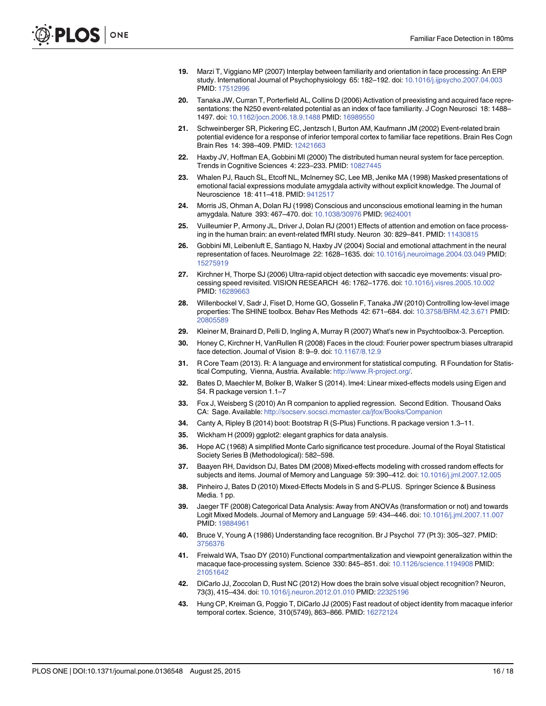- <span id="page-16-0"></span>[19.](#page-13-0) Marzi T, Viggiano MP (2007) Interplay between familiarity and orientation in face processing: An ERP study. International Journal of Psychophysiology 65: 182–192. doi: [10.1016/j.ijpsycho.2007.04.003](http://dx.doi.org/10.1016/j.ijpsycho.2007.04.003) PMID: [17512996](http://www.ncbi.nlm.nih.gov/pubmed/17512996)
- [20.](#page-13-0) Tanaka JW, Curran T, Porterfield AL, Collins D (2006) Activation of preexisting and acquired face representations: the N250 event-related potential as an index of face familiarity. J Cogn Neurosci 18: 1488-1497. doi: [10.1162/jocn.2006.18.9.1488](http://dx.doi.org/10.1162/jocn.2006.18.9.1488) PMID: [16989550](http://www.ncbi.nlm.nih.gov/pubmed/16989550)
- [21.](#page-2-0) Schweinberger SR, Pickering EC, Jentzsch I, Burton AM, Kaufmann JM (2002) Event-related brain potential evidence for a response of inferior temporal cortex to familiar face repetitions. Brain Res Cogn Brain Res 14: 398–409. PMID: [12421663](http://www.ncbi.nlm.nih.gov/pubmed/12421663)
- [22.](#page-2-0) Haxby JV, Hoffman EA, Gobbini MI (2000) The distributed human neural system for face perception. Trends in Cognitive Sciences 4: 223–233. PMID: [10827445](http://www.ncbi.nlm.nih.gov/pubmed/10827445)
- 23. Whalen PJ, Rauch SL, Etcoff NL, McInerney SC, Lee MB, Jenike MA (1998) Masked presentations of emotional facial expressions modulate amygdala activity without explicit knowledge. The Journal of Neuroscience 18: 411–418. PMID: [9412517](http://www.ncbi.nlm.nih.gov/pubmed/9412517)
- 24. Morris JS, Ohman A, Dolan RJ (1998) Conscious and unconscious emotional learning in the human amygdala. Nature 393: 467–470. doi: [10.1038/30976](http://dx.doi.org/10.1038/30976) PMID: [9624001](http://www.ncbi.nlm.nih.gov/pubmed/9624001)
- [25.](#page-2-0) Vuilleumier P, Armony JL, Driver J, Dolan RJ (2001) Effects of attention and emotion on face process-ing in the human brain: an event-related fMRI study. Neuron 30: 829-841. PMID: [11430815](http://www.ncbi.nlm.nih.gov/pubmed/11430815)
- [26.](#page-2-0) Gobbini MI, Leibenluft E, Santiago N, Haxby JV (2004) Social and emotional attachment in the neural representation of faces. NeuroImage 22: 1628–1635. doi: [10.1016/j.neuroimage.2004.03.049](http://dx.doi.org/10.1016/j.neuroimage.2004.03.049) PMID: [15275919](http://www.ncbi.nlm.nih.gov/pubmed/15275919)
- [27.](#page-2-0) Kirchner H, Thorpe SJ (2006) Ultra-rapid object detection with saccadic eye movements: visual processing speed revisited. VISION RESEARCH 46: 1762–1776. doi: [10.1016/j.visres.2005.10.002](http://dx.doi.org/10.1016/j.visres.2005.10.002) PMID: [16289663](http://www.ncbi.nlm.nih.gov/pubmed/16289663)
- [28.](#page-3-0) Willenbockel V, Sadr J, Fiset D, Horne GO, Gosselin F, Tanaka JW (2010) Controlling low-level image properties: The SHINE toolbox. Behav Res Methods 42: 671-684. doi: [10.3758/BRM.42.3.671](http://dx.doi.org/10.3758/BRM.42.3.671) PMID: [20805589](http://www.ncbi.nlm.nih.gov/pubmed/20805589)
- [29.](#page-4-0) Kleiner M, Brainard D, Pelli D, Ingling A, Murray R (2007) What's new in Psychtoolbox-3. Perception.
- [30.](#page-4-0) Honey C, Kirchner H, VanRullen R (2008) Faces in the cloud: Fourier power spectrum biases ultrarapid face detection. Journal of Vision 8: 9–9. doi: [10.1167/8.12.9](http://dx.doi.org/10.1167/8.12.9)
- [31.](#page-4-0) R Core Team (2013). R: A language and environment for statistical computing. R Foundation for Statistical Computing, Vienna, Austria. Available: [http://www.R-project.org/.](http://www.R-project.org/)
- [32.](#page-4-0) Bates D, Maechler M, Bolker B, Walker S (2014). lme4: Linear mixed-effects models using Eigen and S4. R package version 1.1–7
- [33.](#page-4-0) Fox J, Weisberg S (2010) An R companion to applied regression. Second Edition. Thousand Oaks CA: Sage. Available: <http://socserv.socsci.mcmaster.ca/jfox/Books/Companion>
- [34.](#page-4-0) Canty A, Ripley B (2014) boot: Bootstrap R (S-Plus) Functions. R package version 1.3–11.
- [35.](#page-4-0) Wickham H (2009) ggplot2: elegant graphics for data analysis.
- [36.](#page-4-0) Hope AC (1968) A simplified Monte Carlo significance test procedure. Journal of the Royal Statistical Society Series B (Methodological): 582–598.
- [37.](#page-5-0) Baayen RH, Davidson DJ, Bates DM (2008) Mixed-effects modeling with crossed random effects for subjects and items. Journal of Memory and Language 59: 390–412. doi: [10.1016/j.jml.2007.12.005](http://dx.doi.org/10.1016/j.jml.2007.12.005)
- [38.](#page-5-0) Pinheiro J, Bates D (2010) Mixed-Effects Models in S and S-PLUS. Springer Science & Business Media. 1 pp.
- [39.](#page-5-0) Jaeger TF (2008) Categorical Data Analysis: Away from ANOVAs (transformation or not) and towards Logit Mixed Models. Journal of Memory and Language 59: 434–446. doi: [10.1016/j.jml.2007.11.007](http://dx.doi.org/10.1016/j.jml.2007.11.007) PMID: [19884961](http://www.ncbi.nlm.nih.gov/pubmed/19884961)
- [40.](#page-11-0) Bruce V, Young A (1986) Understanding face recognition. Br J Psychol 77 (Pt 3): 305–327. PMID: [3756376](http://www.ncbi.nlm.nih.gov/pubmed/3756376)
- [41.](#page-11-0) Freiwald WA, Tsao DY (2010) Functional compartmentalization and viewpoint generalization within the macaque face-processing system. Science 330: 845–851. doi: [10.1126/science.1194908](http://dx.doi.org/10.1126/science.1194908) PMID: [21051642](http://www.ncbi.nlm.nih.gov/pubmed/21051642)
- [42.](#page-11-0) DiCarlo JJ, Zoccolan D, Rust NC (2012) How does the brain solve visual object recognition? Neuron, 73(3), 415–434. doi: [10.1016/j.neuron.2012.01.010](http://dx.doi.org/10.1016/j.neuron.2012.01.010) PMID: [22325196](http://www.ncbi.nlm.nih.gov/pubmed/22325196)
- [43.](#page-11-0) Hung CP, Kreiman G, Poggio T, DiCarlo JJ (2005) Fast readout of object identity from macaque inferior temporal cortex. Science, 310(5749), 863-866. PMID: [16272124](http://www.ncbi.nlm.nih.gov/pubmed/16272124)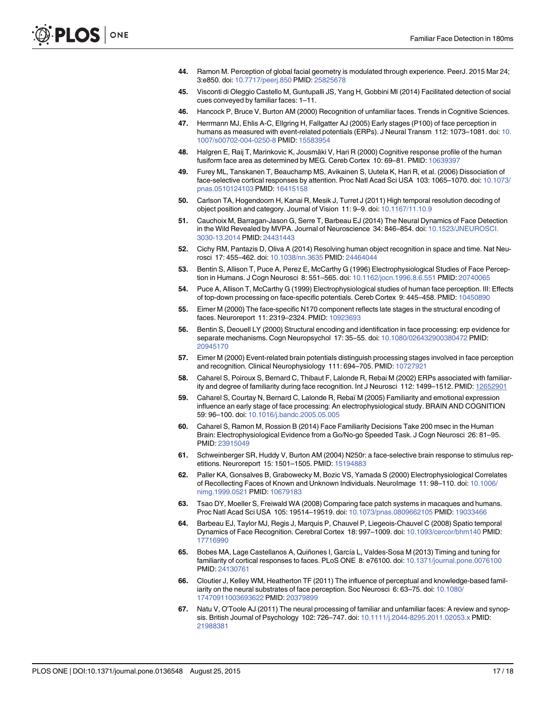- <span id="page-17-0"></span>[44.](#page-12-0) Ramon M. Perception of global facial geometry is modulated through experience. PeerJ. 2015 Mar 24; 3:e850. doi: [10.7717/peerj.850](http://dx.doi.org/10.7717/peerj.850) PMID: [25825678](http://www.ncbi.nlm.nih.gov/pubmed/25825678)
- [45.](#page-12-0) Visconti di Oleggio Castello M, Guntupalli JS, Yang H, Gobbini MI (2014) Facilitated detection of social cues conveyed by familiar faces: 1–11.
- [46.](#page-12-0) Hancock P, Bruce V, Burton AM (2000) Recognition of unfamiliar faces. Trends in Cognitive Sciences.
- [47.](#page-12-0) Herrmann MJ, Ehlis A-C, Ellgring H, Fallgatter AJ (2005) Early stages (P100) of face perception in humans as measured with event-related potentials (ERPs). J Neural Transm 112: 1073–1081. doi: [10.](http://dx.doi.org/10.1007/s00702-004-0250-8) [1007/s00702-004-0250-8](http://dx.doi.org/10.1007/s00702-004-0250-8) PMID: [15583954](http://www.ncbi.nlm.nih.gov/pubmed/15583954)
- [48.](#page-12-0) Halgren E, Raij T, Marinkovic K, Jousmäki V, Hari R (2000) Cognitive response profile of the human fusiform face area as determined by MEG. Cereb Cortex 10: 69–81. PMID: [10639397](http://www.ncbi.nlm.nih.gov/pubmed/10639397)
- [49.](#page-12-0) Furey ML, Tanskanen T, Beauchamp MS, Avikainen S, Uutela K, Hari R, et al. (2006) Dissociation of face-selective cortical responses by attention. Proc Natl Acad Sci USA 103: 1065–1070. doi: [10.1073/](http://dx.doi.org/10.1073/pnas.0510124103) [pnas.0510124103](http://dx.doi.org/10.1073/pnas.0510124103) PMID: [16415158](http://www.ncbi.nlm.nih.gov/pubmed/16415158)
- [50.](#page-12-0) Carlson TA, Hogendoorn H, Kanai R, Mesik J, Turret J (2011) High temporal resolution decoding of object position and category. Journal of Vision 11: 9–9. doi: [10.1167/11.10.9](http://dx.doi.org/10.1167/11.10.9)
- 51. Cauchoix M, Barragan-Jason G, Serre T, Barbeau EJ (2014) The Neural Dynamics of Face Detection in the Wild Revealed by MVPA. Journal of Neuroscience 34: 846–854. doi: [10.1523/JNEUROSCI.](http://dx.doi.org/10.1523/JNEUROSCI.3030-13.2014) [3030-13.2014](http://dx.doi.org/10.1523/JNEUROSCI.3030-13.2014) PMID: [24431443](http://www.ncbi.nlm.nih.gov/pubmed/24431443)
- [52.](#page-12-0) Cichy RM, Pantazis D, Oliva A (2014) Resolving human object recognition in space and time. Nat Neurosci 17: 455–462. doi: [10.1038/nn.3635](http://dx.doi.org/10.1038/nn.3635) PMID: [24464044](http://www.ncbi.nlm.nih.gov/pubmed/24464044)
- [53.](#page-13-0) Bentin S, Allison T, Puce A, Perez E, McCarthy G (1996) Electrophysiological Studies of Face Perception in Humans. J Cogn Neurosci 8: 551–565. doi: [10.1162/jocn.1996.8.6.551](http://dx.doi.org/10.1162/jocn.1996.8.6.551) PMID: [20740065](http://www.ncbi.nlm.nih.gov/pubmed/20740065)
- 54. Puce A, Allison T, McCarthy G (1999) Electrophysiological studies of human face perception. III: Effects of top-down processing on face-specific potentials. Cereb Cortex 9: 445–458. PMID: [10450890](http://www.ncbi.nlm.nih.gov/pubmed/10450890)
- [55.](#page-13-0) Eimer M (2000) The face-specific N170 component reflects late stages in the structural encoding of faces. Neuroreport 11: 2319–2324. PMID: [10923693](http://www.ncbi.nlm.nih.gov/pubmed/10923693)
- [56.](#page-13-0) Bentin S, Deouell LY (2000) Structural encoding and identification in face processing: erp evidence for separate mechanisms. Cogn Neuropsychol 17: 35–55. doi: [10.1080/026432900380472](http://dx.doi.org/10.1080/026432900380472) PMID: [20945170](http://www.ncbi.nlm.nih.gov/pubmed/20945170)
- [57.](#page-13-0) Eimer M (2000) Event-related brain potentials distinguish processing stages involved in face perception and recognition. Clinical Neurophysiology 111: 694–705. PMID: [10727921](http://www.ncbi.nlm.nih.gov/pubmed/10727921)
- [58.](#page-13-0) Caharel S, Poiroux S, Bernard C, Thibaut F, Lalonde R, Rebai M (2002) ERPs associated with familiar-ity and degree of familiarity during face recognition. Int J Neurosci 112: 1499-1512. PMID: [12652901](http://www.ncbi.nlm.nih.gov/pubmed/12652901)
- 59. Caharel S, Courtay N, Bernard C, Lalonde R, Rebaï M (2005) Familiarity and emotional expression influence an early stage of face processing: An electrophysiological study. BRAIN AND COGNITION 59: 96–100. doi: [10.1016/j.bandc.2005.05.005](http://dx.doi.org/10.1016/j.bandc.2005.05.005)
- [60.](#page-13-0) Caharel S, Ramon M, Rossion B (2014) Face Familiarity Decisions Take 200 msec in the Human Brain: Electrophysiological Evidence from a Go/No-go Speeded Task. J Cogn Neurosci 26: 81–95. PMID: [23915049](http://www.ncbi.nlm.nih.gov/pubmed/23915049)
- [61.](#page-13-0) Schweinberger SR, Huddy V, Burton AM (2004) N250r: a face-selective brain response to stimulus repetitions. Neuroreport 15: 1501–1505. PMID: [15194883](http://www.ncbi.nlm.nih.gov/pubmed/15194883)
- [62.](#page-13-0) Paller KA, Gonsalves B, Grabowecky M, Bozic VS, Yamada S (2000) Electrophysiological Correlates of Recollecting Faces of Known and Unknown Individuals. NeuroImage 11: 98–110. doi: [10.1006/](http://dx.doi.org/10.1006/nimg.1999.0521) [nimg.1999.0521](http://dx.doi.org/10.1006/nimg.1999.0521) PMID: [10679183](http://www.ncbi.nlm.nih.gov/pubmed/10679183)
- [63.](#page-13-0) Tsao DY, Moeller S, Freiwald WA (2008) Comparing face patch systems in macaques and humans. Proc Natl Acad Sci USA 105: 19514–19519. doi: [10.1073/pnas.0809662105](http://dx.doi.org/10.1073/pnas.0809662105) PMID: [19033466](http://www.ncbi.nlm.nih.gov/pubmed/19033466)
- [64.](#page-13-0) Barbeau EJ, Taylor MJ, Regis J, Marquis P, Chauvel P, Liegeois-Chauvel C (2008) Spatio temporal Dynamics of Face Recognition. Cerebral Cortex 18: 997–1009. doi: [10.1093/cercor/bhm140](http://dx.doi.org/10.1093/cercor/bhm140) PMID: [17716990](http://www.ncbi.nlm.nih.gov/pubmed/17716990)
- 65. Bobes MA, Lage Castellanos A, Quiñones I, García L, Valdes-Sosa M (2013) Timing and tuning for familiarity of cortical responses to faces. PLoS ONE 8: e76100. doi: [10.1371/journal.pone.0076100](http://dx.doi.org/10.1371/journal.pone.0076100) PMID: [24130761](http://www.ncbi.nlm.nih.gov/pubmed/24130761)
- 66. Cloutier J, Kelley WM, Heatherton TF (2011) The influence of perceptual and knowledge-based familiarity on the neural substrates of face perception. Soc Neurosci 6: 63–75. doi: [10.1080/](http://dx.doi.org/10.1080/17470911003693622) [17470911003693622](http://dx.doi.org/10.1080/17470911003693622) PMID: [20379899](http://www.ncbi.nlm.nih.gov/pubmed/20379899)
- 67. Natu V, O'Toole AJ (2011) The neural processing of familiar and unfamiliar faces: A review and synopsis. British Journal of Psychology 102: 726–747. doi: [10.1111/j.2044-8295.2011.02053.x](http://dx.doi.org/10.1111/j.2044-8295.2011.02053.x) PMID: [21988381](http://www.ncbi.nlm.nih.gov/pubmed/21988381)